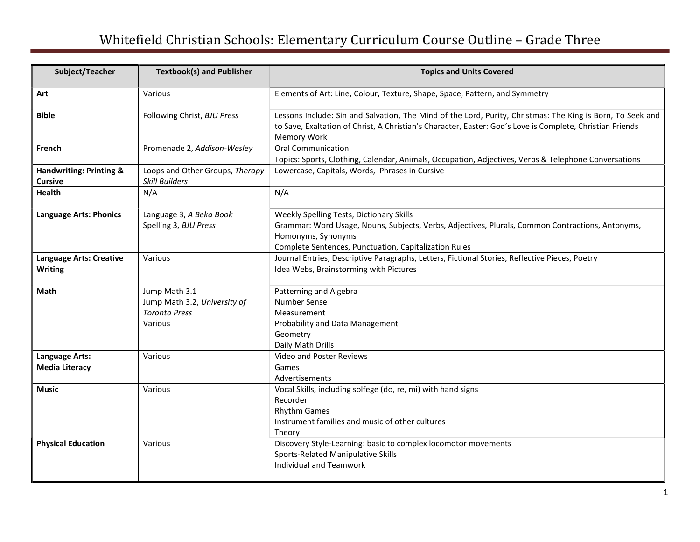## Whitefield Christian Schools: Elementary Curriculum Course Outline – Grade Three

| Subject/Teacher                                      | <b>Textbook(s) and Publisher</b>                                                 | <b>Topics and Units Covered</b>                                                                                                                                                                                                        |
|------------------------------------------------------|----------------------------------------------------------------------------------|----------------------------------------------------------------------------------------------------------------------------------------------------------------------------------------------------------------------------------------|
| Art                                                  | Various                                                                          | Elements of Art: Line, Colour, Texture, Shape, Space, Pattern, and Symmetry                                                                                                                                                            |
| <b>Bible</b>                                         | Following Christ, BJU Press                                                      | Lessons Include: Sin and Salvation, The Mind of the Lord, Purity, Christmas: The King is Born, To Seek and<br>to Save, Exaltation of Christ, A Christian's Character, Easter: God's Love is Complete, Christian Friends<br>Memory Work |
| French                                               | Promenade 2, Addison-Wesley                                                      | <b>Oral Communication</b><br>Topics: Sports, Clothing, Calendar, Animals, Occupation, Adjectives, Verbs & Telephone Conversations                                                                                                      |
| <b>Handwriting: Printing &amp;</b><br><b>Cursive</b> | Loops and Other Groups, Therapy<br><b>Skill Builders</b>                         | Lowercase, Capitals, Words, Phrases in Cursive                                                                                                                                                                                         |
| <b>Health</b>                                        | N/A                                                                              | N/A                                                                                                                                                                                                                                    |
| <b>Language Arts: Phonics</b>                        | Language 3, A Beka Book<br>Spelling 3, BJU Press                                 | Weekly Spelling Tests, Dictionary Skills<br>Grammar: Word Usage, Nouns, Subjects, Verbs, Adjectives, Plurals, Common Contractions, Antonyms,<br>Homonyms, Synonyms<br>Complete Sentences, Punctuation, Capitalization Rules            |
| <b>Language Arts: Creative</b><br><b>Writing</b>     | Various                                                                          | Journal Entries, Descriptive Paragraphs, Letters, Fictional Stories, Reflective Pieces, Poetry<br>Idea Webs, Brainstorming with Pictures                                                                                               |
| Math                                                 | Jump Math 3.1<br>Jump Math 3.2, University of<br><b>Toronto Press</b><br>Various | Patterning and Algebra<br><b>Number Sense</b><br>Measurement<br>Probability and Data Management<br>Geometry<br>Daily Math Drills                                                                                                       |
| Language Arts:<br><b>Media Literacy</b>              | Various                                                                          | Video and Poster Reviews<br>Games<br>Advertisements                                                                                                                                                                                    |
| <b>Music</b>                                         | Various                                                                          | Vocal Skills, including solfege (do, re, mi) with hand signs<br>Recorder<br><b>Rhythm Games</b><br>Instrument families and music of other cultures<br>Theory                                                                           |
| <b>Physical Education</b>                            | Various                                                                          | Discovery Style-Learning: basic to complex locomotor movements<br>Sports-Related Manipulative Skills<br><b>Individual and Teamwork</b>                                                                                                 |